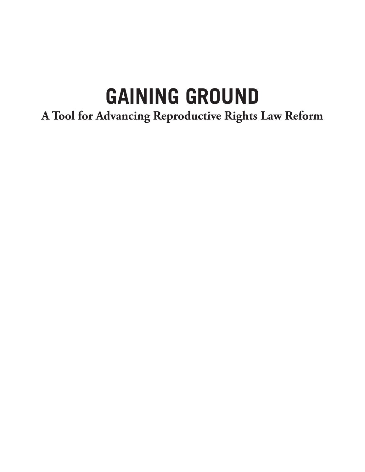# **GAINING GROUND**

## **A Tool for Advancing Reproductive Rights Law Reform**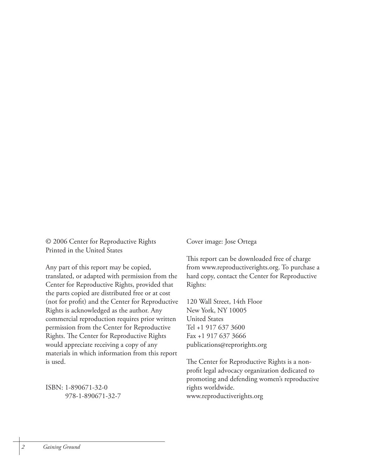© 2006 Center for Reproductive Rights Printed in the United States

Any part of this report may be copied, translated, or adapted with permission from the Center for Reproductive Rights, provided that the parts copied are distributed free or at cost (not for profit) and the Center for Reproductive Rights is acknowledged as the author. Any commercial reproduction requires prior written permission from the Center for Reproductive Rights. The Center for Reproductive Rights would appreciate receiving a copy of any materials in which information from this report is used.

ISBN: 1-890671-32-0 978-1-890671-32-7 Cover image: Jose Ortega

This report can be downloaded free of charge from www.reproductiverights.org. To purchase a hard copy, contact the Center for Reproductive Rights:

120 Wall Street, 14th Floor New York, NY 10005 United States Tel +1 917 637 3600 Fax +1 917 637 3666 publications@reprorights.org

The Center for Reproductive Rights is a nonprofit legal advocacy organization dedicated to promoting and defending women's reproductive rights worldwide. www.reproductiverights.org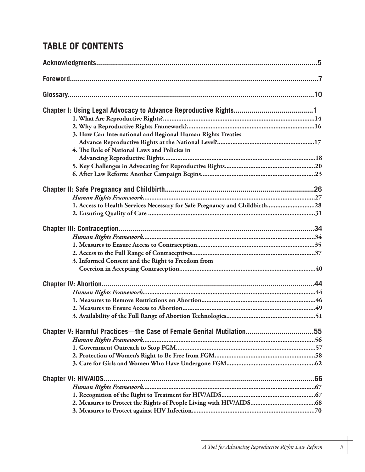## **TABLE OF CONTENTS**

| 3. How Can International and Regional Human Rights Treaties                |  |
|----------------------------------------------------------------------------|--|
|                                                                            |  |
| 4. The Role of National Laws and Policies in                               |  |
|                                                                            |  |
|                                                                            |  |
|                                                                            |  |
|                                                                            |  |
|                                                                            |  |
|                                                                            |  |
| 1. Access to Health Services Necessary for Safe Pregnancy and Childbirth28 |  |
|                                                                            |  |
|                                                                            |  |
|                                                                            |  |
|                                                                            |  |
|                                                                            |  |
| 3. Informed Consent and the Right to Freedom from                          |  |
|                                                                            |  |
|                                                                            |  |
|                                                                            |  |
|                                                                            |  |
|                                                                            |  |
|                                                                            |  |
| Chapter V: Harmful Practices—the Case of Female Genital Mutilation55       |  |
|                                                                            |  |
|                                                                            |  |
|                                                                            |  |
|                                                                            |  |
|                                                                            |  |
|                                                                            |  |
|                                                                            |  |
|                                                                            |  |
|                                                                            |  |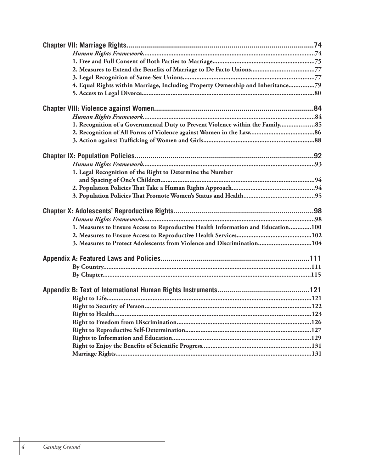| 2. Measures to Extend the Benefits of Marriage to De Facto Unions77<br>4. Equal Rights within Marriage, Including Property Ownership and Inheritance79<br>1. Recognition of a Governmental Duty to Prevent Violence within the Family 85<br>1. Legal Recognition of the Right to Determine the Number<br>1. Measures to Ensure Access to Reproductive Health Information and Education100<br>3. Measures to Protect Adolescents from Violence and Discrimination104 |  |
|---------------------------------------------------------------------------------------------------------------------------------------------------------------------------------------------------------------------------------------------------------------------------------------------------------------------------------------------------------------------------------------------------------------------------------------------------------------------|--|
|                                                                                                                                                                                                                                                                                                                                                                                                                                                                     |  |
|                                                                                                                                                                                                                                                                                                                                                                                                                                                                     |  |
|                                                                                                                                                                                                                                                                                                                                                                                                                                                                     |  |
|                                                                                                                                                                                                                                                                                                                                                                                                                                                                     |  |
|                                                                                                                                                                                                                                                                                                                                                                                                                                                                     |  |
|                                                                                                                                                                                                                                                                                                                                                                                                                                                                     |  |
|                                                                                                                                                                                                                                                                                                                                                                                                                                                                     |  |
|                                                                                                                                                                                                                                                                                                                                                                                                                                                                     |  |
|                                                                                                                                                                                                                                                                                                                                                                                                                                                                     |  |
|                                                                                                                                                                                                                                                                                                                                                                                                                                                                     |  |
|                                                                                                                                                                                                                                                                                                                                                                                                                                                                     |  |
|                                                                                                                                                                                                                                                                                                                                                                                                                                                                     |  |
|                                                                                                                                                                                                                                                                                                                                                                                                                                                                     |  |
|                                                                                                                                                                                                                                                                                                                                                                                                                                                                     |  |
|                                                                                                                                                                                                                                                                                                                                                                                                                                                                     |  |
|                                                                                                                                                                                                                                                                                                                                                                                                                                                                     |  |
|                                                                                                                                                                                                                                                                                                                                                                                                                                                                     |  |
|                                                                                                                                                                                                                                                                                                                                                                                                                                                                     |  |
|                                                                                                                                                                                                                                                                                                                                                                                                                                                                     |  |
|                                                                                                                                                                                                                                                                                                                                                                                                                                                                     |  |
|                                                                                                                                                                                                                                                                                                                                                                                                                                                                     |  |
|                                                                                                                                                                                                                                                                                                                                                                                                                                                                     |  |
|                                                                                                                                                                                                                                                                                                                                                                                                                                                                     |  |
|                                                                                                                                                                                                                                                                                                                                                                                                                                                                     |  |
|                                                                                                                                                                                                                                                                                                                                                                                                                                                                     |  |
|                                                                                                                                                                                                                                                                                                                                                                                                                                                                     |  |
|                                                                                                                                                                                                                                                                                                                                                                                                                                                                     |  |
|                                                                                                                                                                                                                                                                                                                                                                                                                                                                     |  |
|                                                                                                                                                                                                                                                                                                                                                                                                                                                                     |  |
|                                                                                                                                                                                                                                                                                                                                                                                                                                                                     |  |
|                                                                                                                                                                                                                                                                                                                                                                                                                                                                     |  |
|                                                                                                                                                                                                                                                                                                                                                                                                                                                                     |  |
|                                                                                                                                                                                                                                                                                                                                                                                                                                                                     |  |
|                                                                                                                                                                                                                                                                                                                                                                                                                                                                     |  |
|                                                                                                                                                                                                                                                                                                                                                                                                                                                                     |  |
|                                                                                                                                                                                                                                                                                                                                                                                                                                                                     |  |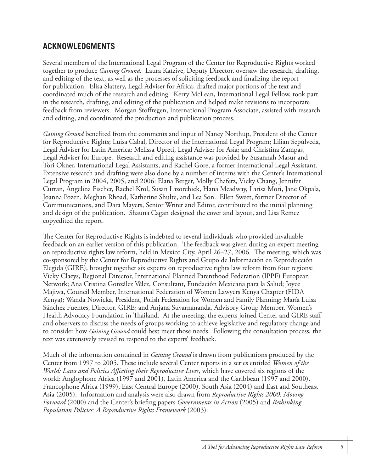#### **ACKNOWLEDGMENTS**

Several members of the International Legal Program of the Center for Reproductive Rights worked together to produce *Gaining Ground*. Laura Katzive, Deputy Director, oversaw the research, drafting, and editing of the text, as well as the processes of soliciting feedback and finalizing the report for publication. Elisa Slattery, Legal Adviser for Africa, drafted major portions of the text and coordinated much of the research and editing. Kerry McLean, International Legal Fellow, took part in the research, drafting, and editing of the publication and helped make revisions to incorporate feedback from reviewers. Morgan Stoffregen, International Program Associate, assisted with research and editing, and coordinated the production and publication process.

*Gaining Ground* benefited from the comments and input of Nancy Northup, President of the Center for Reproductive Rights; Luisa Cabal, Director of the International Legal Program; Lilian Sepúlveda, Legal Adviser for Latin America; Melissa Upreti, Legal Adviser for Asia; and Christina Zampas, Legal Adviser for Europe. Research and editing assistance was provided by Susannah Masur and Tori Okner, International Legal Assistants, and Rachel Gore, a former International Legal Assistant. Extensive research and drafting were also done by a number of interns with the Center's International Legal Program in 2004, 2005, and 2006: Elana Berger, Molly Chafetz, Vicky Chang, Jennifer Curran, Angelina Fischer, Rachel Krol, Susan Lazorchick, Hana Meadway, Larisa Mori, Jane Okpala, Joanna Pozen, Meghan Rhoad, Katherine Shulte, and Lea Son. Ellen Sweet, former Director of Communications, and Dara Mayers, Senior Writer and Editor, contributed to the initial planning and design of the publication. Shauna Cagan designed the cover and layout, and Lisa Remez copyedited the report.

The Center for Reproductive Rights is indebted to several individuals who provided invaluable feedback on an earlier version of this publication. The feedback was given during an expert meeting on reproductive rights law reform, held in Mexico City, April 26–27, 2006. The meeting, which was co-sponsored by the Center for Reproductive Rights and Grupo de Información en Reproducción Elegida (GIRE), brought together six experts on reproductive rights law reform from four regions: Vicky Claeys, Regional Director, International Planned Parenthood Federation (IPPF) European Network; Ana Cristina González Vélez, Consultant, Fundación Mexicana para la Salud; Joyce Majiwa, Council Member, International Federation of Women Lawyers Kenya Chapter (FIDA Kenya); Wanda Nowicka, President, Polish Federation for Women and Family Planning; María Luisa Sánchez Fuentes, Director, GIRE; and Anjana Suvarnananda, Advisory Group Member, Women's Health Advocacy Foundation in Thailand. At the meeting, the experts joined Center and GIRE staff and observers to discuss the needs of groups working to achieve legislative and regulatory change and to consider how *Gaining Ground* could best meet those needs. Following the consultation process, the text was extensively revised to respond to the experts' feedback.

Much of the information contained in *Gaining Ground* is drawn from publications produced by the Center from 1997 to 2005. These include several Center reports in a series entitled *Women of the World: Laws and Policies Affecting their Reproductive Lives*, which have covered six regions of the world: Anglophone Africa (1997 and 2001), Latin America and the Caribbean (1997 and 2000), Francophone Africa (1999), East Central Europe (2000), South Asia (2004) and East and Southeast Asia (2005). Information and analysis were also drawn from *Reproductive Rights 2000: Moving Forward* (2000) and the Center's briefing papers *Governments in Action* (2005) and *Rethinking Population Policies: A Reproductive Rights Framework* (2003).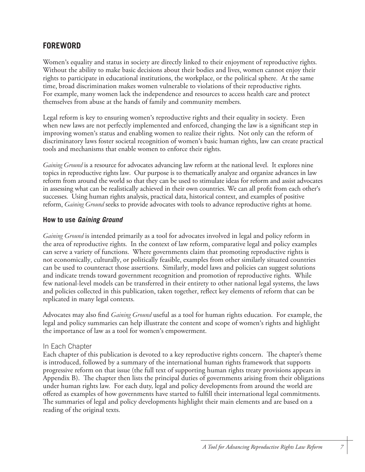#### **FOREWORD**

Women's equality and status in society are directly linked to their enjoyment of reproductive rights. Without the ability to make basic decisions about their bodies and lives, women cannot enjoy their rights to participate in educational institutions, the workplace, or the political sphere. At the same time, broad discrimination makes women vulnerable to violations of their reproductive rights. For example, many women lack the independence and resources to access health care and protect themselves from abuse at the hands of family and community members.

Legal reform is key to ensuring women's reproductive rights and their equality in society. Even when new laws are not perfectly implemented and enforced, changing the law is a significant step in improving women's status and enabling women to realize their rights. Not only can the reform of discriminatory laws foster societal recognition of women's basic human rights, law can create practical tools and mechanisms that enable women to enforce their rights.

*Gaining Ground* is a resource for advocates advancing law reform at the national level. It explores nine topics in reproductive rights law. Our purpose is to thematically analyze and organize advances in law reform from around the world so that they can be used to stimulate ideas for reform and assist advocates in assessing what can be realistically achieved in their own countries. We can all profit from each other's successes. Using human rights analysis, practical data, historical context, and examples of positive reform, *Gaining Ground* seeks to provide advocates with tools to advance reproductive rights at home.

#### **How to use Gaining Ground**

*Gaining Ground* is intended primarily as a tool for advocates involved in legal and policy reform in the area of reproductive rights. In the context of law reform, comparative legal and policy examples can serve a variety of functions. Where governments claim that promoting reproductive rights is not economically, culturally, or politically feasible, examples from other similarly situated countries can be used to counteract those assertions. Similarly, model laws and policies can suggest solutions and indicate trends toward government recognition and promotion of reproductive rights. While few national-level models can be transferred in their entirety to other national legal systems, the laws and policies collected in this publication, taken together, reflect key elements of reform that can be replicated in many legal contexts.

Advocates may also find *Gaining Ground* useful as a tool for human rights education. For example, the legal and policy summaries can help illustrate the content and scope of women's rights and highlight the importance of law as a tool for women's empowerment.

#### In Each Chapter

Each chapter of this publication is devoted to a key reproductive rights concern. The chapter's theme is introduced, followed by a summary of the international human rights framework that supports progressive reform on that issue (the full text of supporting human rights treaty provisions appears in Appendix B). The chapter then lists the principal duties of governments arising from their obligations under human rights law. For each duty, legal and policy developments from around the world are offered as examples of how governments have started to fulfill their international legal commitments. The summaries of legal and policy developments highlight their main elements and are based on a reading of the original texts.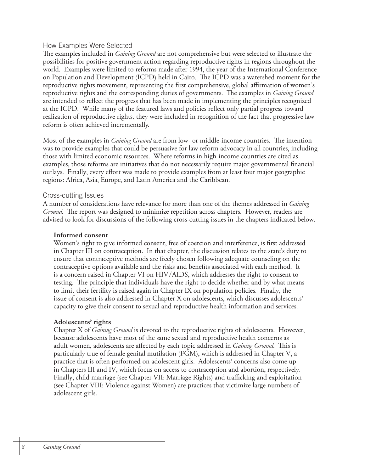#### How Examples Were Selected

The examples included in *Gaining Ground* are not comprehensive but were selected to illustrate the possibilities for positive government action regarding reproductive rights in regions throughout the world. Examples were limited to reforms made after 1994, the year of the International Conference on Population and Development (ICPD) held in Cairo. The ICPD was a watershed moment for the reproductive rights movement, representing the first comprehensive, global affirmation of women's reproductive rights and the corresponding duties of governments. The examples in *Gaining Ground* are intended to reflect the progress that has been made in implementing the principles recognized at the ICPD. While many of the featured laws and policies reflect only partial progress toward realization of reproductive rights, they were included in recognition of the fact that progressive law reform is often achieved incrementally.

Most of the examples in *Gaining Ground* are from low- or middle-income countries. The intention was to provide examples that could be persuasive for law reform advocacy in all countries, including those with limited economic resources. Where reforms in high-income countries are cited as examples, those reforms are initiatives that do not necessarily require major governmental financial outlays. Finally, every effort was made to provide examples from at least four major geographic regions: Africa, Asia, Europe, and Latin America and the Caribbean.

#### Cross-cutting Issues

A number of considerations have relevance for more than one of the themes addressed in *Gaining Ground*. The report was designed to minimize repetition across chapters. However, readers are advised to look for discussions of the following cross-cutting issues in the chapters indicated below.

#### **Informed consent**

Women's right to give informed consent, free of coercion and interference, is first addressed in Chapter III on contraception. In that chapter, the discussion relates to the state's duty to ensure that contraceptive methods are freely chosen following adequate counseling on the contraceptive options available and the risks and benefits associated with each method. It is a concern raised in Chapter VI on HIV/AIDS, which addresses the right to consent to testing. The principle that individuals have the right to decide whether and by what means to limit their fertility is raised again in Chapter IX on population policies. Finally, the issue of consent is also addressed in Chapter X on adolescents, which discusses adolescents' capacity to give their consent to sexual and reproductive health information and services.

#### **Adolescents' rights**

Chapter X of *Gaining Ground* is devoted to the reproductive rights of adolescents. However, because adolescents have most of the same sexual and reproductive health concerns as adult women, adolescents are affected by each topic addressed in *Gaining Ground*. This is particularly true of female genital mutilation (FGM), which is addressed in Chapter V, a practice that is often performed on adolescent girls. Adolescents' concerns also come up in Chapters III and IV, which focus on access to contraception and abortion, respectively. Finally, child marriage (see Chapter VII: Marriage Rights) and trafficking and exploitation (see Chapter VIII: Violence against Women) are practices that victimize large numbers of adolescent girls.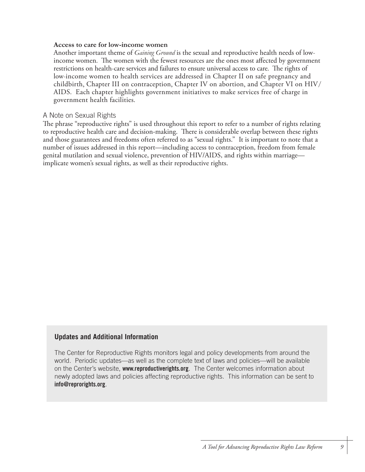#### **Access to care for low-income women**

Another important theme of *Gaining Ground* is the sexual and reproductive health needs of lowincome women. The women with the fewest resources are the ones most affected by government restrictions on health-care services and failures to ensure universal access to care. The rights of low-income women to health services are addressed in Chapter II on safe pregnancy and childbirth, Chapter III on contraception, Chapter IV on abortion, and Chapter VI on HIV/ AIDS. Each chapter highlights government initiatives to make services free of charge in government health facilities.

#### A Note on Sexual Rights

The phrase "reproductive rights" is used throughout this report to refer to a number of rights relating to reproductive health care and decision-making. There is considerable overlap between these rights and those guarantees and freedoms often referred to as "sexual rights." It is important to note that a number of issues addressed in this report—including access to contraception, freedom from female genital mutilation and sexual violence, prevention of HIV/AIDS, and rights within marriage implicate women's sexual rights, as well as their reproductive rights.

#### **Updates and Additional Information**

The Center for Reproductive Rights monitors legal and policy developments from around the world. Periodic updates—as well as the complete text of laws and policies—will be available on the Center's website, **www.reproductiverights.org**. The Center welcomes information about newly adopted laws and policies affecting reproductive rights. This information can be sent to **info@reprorights.org**.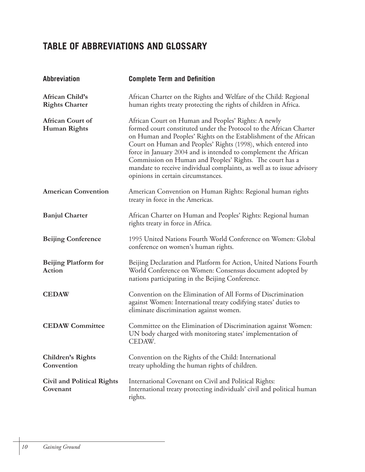## **TABLE OF ABBREVIATIONS AND GLOSSARY**

| <b>Abbreviation</b>                            | <b>Complete Term and Definition</b>                                                                                                                                                                                                                                                                                                                                                                                                                                                                           |
|------------------------------------------------|---------------------------------------------------------------------------------------------------------------------------------------------------------------------------------------------------------------------------------------------------------------------------------------------------------------------------------------------------------------------------------------------------------------------------------------------------------------------------------------------------------------|
| African Child's<br><b>Rights Charter</b>       | African Charter on the Rights and Welfare of the Child: Regional<br>human rights treaty protecting the rights of children in Africa.                                                                                                                                                                                                                                                                                                                                                                          |
| <b>African Court of</b><br><b>Human Rights</b> | African Court on Human and Peoples' Rights: A newly<br>formed court constituted under the Protocol to the African Charter<br>on Human and Peoples' Rights on the Establishment of the African<br>Court on Human and Peoples' Rights (1998), which entered into<br>force in January 2004 and is intended to complement the African<br>Commission on Human and Peoples' Rights. The court has a<br>mandate to receive individual complaints, as well as to issue advisory<br>opinions in certain circumstances. |
| <b>American Convention</b>                     | American Convention on Human Rights: Regional human rights<br>treaty in force in the Americas.                                                                                                                                                                                                                                                                                                                                                                                                                |
| <b>Banjul Charter</b>                          | African Charter on Human and Peoples' Rights: Regional human<br>rights treaty in force in Africa.                                                                                                                                                                                                                                                                                                                                                                                                             |
| <b>Beijing Conference</b>                      | 1995 United Nations Fourth World Conference on Women: Global<br>conference on women's human rights.                                                                                                                                                                                                                                                                                                                                                                                                           |
| <b>Beijing Platform for</b><br>Action          | Beijing Declaration and Platform for Action, United Nations Fourth<br>World Conference on Women: Consensus document adopted by<br>nations participating in the Beijing Conference.                                                                                                                                                                                                                                                                                                                            |
| <b>CEDAW</b>                                   | Convention on the Elimination of All Forms of Discrimination<br>against Women: International treaty codifying states' duties to<br>eliminate discrimination against women.                                                                                                                                                                                                                                                                                                                                    |
| <b>CEDAW Committee</b>                         | Committee on the Elimination of Discrimination against Women:<br>UN body charged with monitoring states' implementation of<br>CEDAW.                                                                                                                                                                                                                                                                                                                                                                          |
| Children's Rights<br>Convention                | Convention on the Rights of the Child: International<br>treaty upholding the human rights of children.                                                                                                                                                                                                                                                                                                                                                                                                        |
| <b>Civil and Political Rights</b><br>Covenant  | International Covenant on Civil and Political Rights:<br>International treaty protecting individuals' civil and political human<br>rights.                                                                                                                                                                                                                                                                                                                                                                    |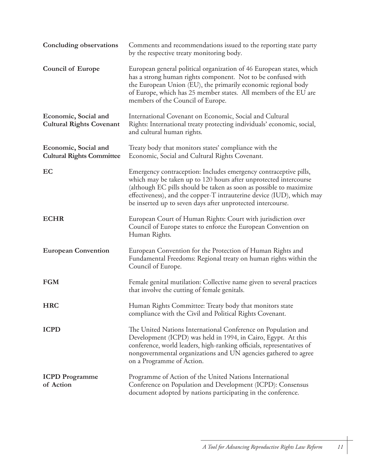| <b>Concluding observations</b>                           | Comments and recommendations issued to the reporting state party<br>by the respective treaty monitoring body.                                                                                                                                                                                                                                      |
|----------------------------------------------------------|----------------------------------------------------------------------------------------------------------------------------------------------------------------------------------------------------------------------------------------------------------------------------------------------------------------------------------------------------|
| <b>Council of Europe</b>                                 | European general political organization of 46 European states, which<br>has a strong human rights component. Not to be confused with<br>the European Union (EU), the primarily economic regional body<br>of Europe, which has 25 member states. All members of the EU are<br>members of the Council of Europe.                                     |
| Economic, Social and<br><b>Cultural Rights Covenant</b>  | International Covenant on Economic, Social and Cultural<br>Rights: International treaty protecting individuals' economic, social,<br>and cultural human rights.                                                                                                                                                                                    |
| Economic, Social and<br><b>Cultural Rights Committee</b> | Treaty body that monitors states' compliance with the<br>Economic, Social and Cultural Rights Covenant.                                                                                                                                                                                                                                            |
| EC                                                       | Emergency contraception: Includes emergency contraceptive pills,<br>which may be taken up to 120 hours after unprotected intercourse<br>(although EC pills should be taken as soon as possible to maximize<br>effectiveness), and the copper-T intrauterine device (IUD), which may<br>be inserted up to seven days after unprotected intercourse. |
| <b>ECHR</b>                                              | European Court of Human Rights: Court with jurisdiction over<br>Council of Europe states to enforce the European Convention on<br>Human Rights.                                                                                                                                                                                                    |
| <b>European Convention</b>                               | European Convention for the Protection of Human Rights and<br>Fundamental Freedoms: Regional treaty on human rights within the<br>Council of Europe.                                                                                                                                                                                               |
| <b>FGM</b>                                               | Female genital mutilation: Collective name given to several practices<br>that involve the cutting of female genitals.                                                                                                                                                                                                                              |
| <b>HRC</b>                                               | Human Rights Committee: Treaty body that monitors state<br>compliance with the Civil and Political Rights Covenant.                                                                                                                                                                                                                                |
| <b>ICPD</b>                                              | The United Nations International Conference on Population and<br>Development (ICPD) was held in 1994, in Cairo, Egypt. At this<br>conference, world leaders, high-ranking officials, representatives of<br>nongovernmental organizations and UN agencies gathered to agree<br>on a Programme of Action.                                            |
| <b>ICPD</b> Programme<br>of Action                       | Programme of Action of the United Nations International<br>Conference on Population and Development (ICPD): Consensus<br>document adopted by nations participating in the conference.                                                                                                                                                              |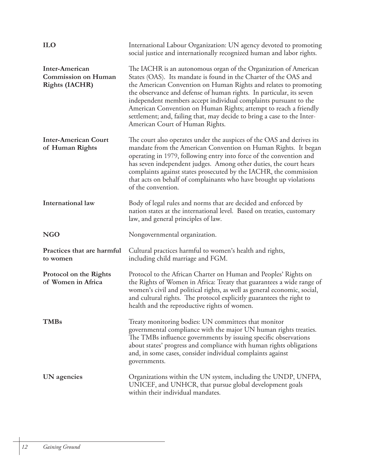| <b>ILO</b>                                                            | International Labour Organization: UN agency devoted to promoting<br>social justice and internationally recognized human and labor rights.                                                                                                                                                                                                                                                                                                                                                                                             |
|-----------------------------------------------------------------------|----------------------------------------------------------------------------------------------------------------------------------------------------------------------------------------------------------------------------------------------------------------------------------------------------------------------------------------------------------------------------------------------------------------------------------------------------------------------------------------------------------------------------------------|
| Inter-American<br><b>Commission on Human</b><br><b>Rights (IACHR)</b> | The IACHR is an autonomous organ of the Organization of American<br>States (OAS). Its mandate is found in the Charter of the OAS and<br>the American Convention on Human Rights and relates to promoting<br>the observance and defense of human rights. In particular, its seven<br>independent members accept individual complaints pursuant to the<br>American Convention on Human Rights; attempt to reach a friendly<br>settlement; and, failing that, may decide to bring a case to the Inter-<br>American Court of Human Rights. |
| <b>Inter-American Court</b><br>of Human Rights                        | The court also operates under the auspices of the OAS and derives its<br>mandate from the American Convention on Human Rights. It began<br>operating in 1979, following entry into force of the convention and<br>has seven independent judges. Among other duties, the court hears<br>complaints against states prosecuted by the IACHR, the commission<br>that acts on behalf of complainants who have brought up violations<br>of the convention.                                                                                   |
| <b>International law</b>                                              | Body of legal rules and norms that are decided and enforced by<br>nation states at the international level. Based on treaties, customary<br>law, and general principles of law.                                                                                                                                                                                                                                                                                                                                                        |
| <b>NGO</b>                                                            | Nongovernmental organization.                                                                                                                                                                                                                                                                                                                                                                                                                                                                                                          |
| Practices that are harmful<br>to women                                | Cultural practices harmful to women's health and rights,<br>including child marriage and FGM.                                                                                                                                                                                                                                                                                                                                                                                                                                          |
| Protocol on the Rights<br>of Women in Africa                          | Protocol to the African Charter on Human and Peoples' Rights on<br>the Rights of Women in Africa: Treaty that guarantees a wide range of<br>women's civil and political rights, as well as general economic, social,<br>and cultural rights. The protocol explicitly guarantees the right to<br>health and the reproductive rights of women.                                                                                                                                                                                           |
| <b>TMBs</b>                                                           | Treaty monitoring bodies: UN committees that monitor<br>governmental compliance with the major UN human rights treaties.<br>The TMBs influence governments by issuing specific observations<br>about states' progress and compliance with human rights obligations<br>and, in some cases, consider individual complaints against<br>governments.                                                                                                                                                                                       |
| UN agencies                                                           | Organizations within the UN system, including the UNDP, UNFPA,<br>UNICEF, and UNHCR, that pursue global development goals<br>within their individual mandates.                                                                                                                                                                                                                                                                                                                                                                         |